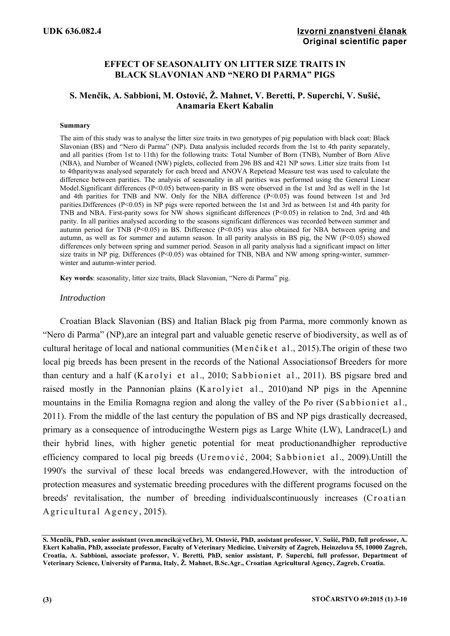# **EFFECT OF SEASONALITY ON LITTER SIZE TRAITS IN BLACK SLAVONIAN AND "NERO DI PARMA" PIGS**

# **S. Menčik, A. Sabbioni, M. Ostović, Ž. Mahnet, V. Beretti, P. Superchi, V. Sušić, Anamaria Ekert Kabalin**

#### **Summary**

The aim of this study was to analyse the litter size traits in two genotypes of pig population with black coat: Black Slavonian (BS) and "Nero di Parma" (NP). Data analysis included records from the 1st to 4th parity separately, and all parities (from 1st to 11th) for the following traits: Total Number of Born (TNB), Number of Born Alive (NBA), and Number of Weaned (NW) piglets, collected from 296 BS and 421 NP sows. Litter size traits from 1st to 4thparitywas analysed separately for each breed and ANOVA Repetead Measure test was used to calculate the difference between parities. The analysis of seasonality in all parities was performed using the General Linear Model.Significant differences (P<0.05) between-parity in BS were observed in the 1st and 3rd as well in the 1st and 4th parities for TNB and NW. Only for the NBA difference (P<0.05) was found between 1st and 3rd parities.Differences (P<0.05) in NP pigs were reported between the 1st and 3rd as between 1st and 4th parity for TNB and NBA. First-parity sows for NW shows significant differences  $(P< 0.05)$  in relation to 2nd, 3rd and 4th parity. In all parities analysed according to the seasons significant differences was recorded between summer and autumn period for TNB ( $P<0.05$ ) in BS. Difference ( $P<0.05$ ) was also obtained for NBA between spring and autumn, as well as for summer and autumn season. In all parity analysis in BS pig, the NW ( $P < 0.05$ ) showed differences only between spring and summer period. Season in all parity analysis had a significant impact on litter size traits in NP pig. Differences ( $P<0.05$ ) was obtained for TNB, NBA and NW among spring-winter, summerwinter and autumn-winter period.

**Key words**: seasonality, litter size traits, Black Slavonian, "Nero di Parma" pig.

### *Introduction*

Croatian Black Slavonian (BS) and Italian Black pig from Parma, more commonly known as "Nero di Parma" (NP),are an integral part and valuable genetic reserve of biodiversity, as well as of cultural heritage of local and national communities (Menčiket al., 2015). The origin of these two local pig breeds has been present in the records of the National Associationsof Breeders for more than century and a half (Karolyi et al., 2010; Sabbioniet al., 2011). BS pigsare bred and raised mostly in the Pannonian plains (Karolyiet al., 2010)and NP pigs in the Apennine mountains in the Emilia Romagna region and along the valley of the Po river (Sabbioniet al., 2011). From the middle of the last century the population of BS and NP pigs drastically decreased, primary as a consequence of introducingthe Western pigs as Large White (LW), Landrace(L) and their hybrid lines, with higher genetic potential for meat productionandhigher reproductive efficiency compared to local pig breeds (Uremović, 2004; Sabbioniet al., 2009). Untill the 1990's the survival of these local breeds was endangered.However, with the introduction of protection measures and systematic breeding procedures with the different programs focused on the breeds' revitalisation, the number of breeding individuals continuously increases (Croatian Agricultural Agency, 2015).

**S. Menčik, PhD, senior assistant (sven.mencik@vef.hr), M. Ostović, PhD, assistant professor, V. Sušić, PhD, full professor, A. Ekert Kabalin, PhD, associate professor, Faculty of Veterinary Medicine, University of Zagreb, Heinzelova 55, 10000 Zagreb, Croatia, A. Sabbioni, associate professor, V. Beretti, PhD, senior assistant, P. Superchi, full professor, Department of Veterinary Science, University of Parma, Italy, Ž. Mahnet, B.Sc.Agr., Croatian Agricultural Agency, Zagreb, Croatia.**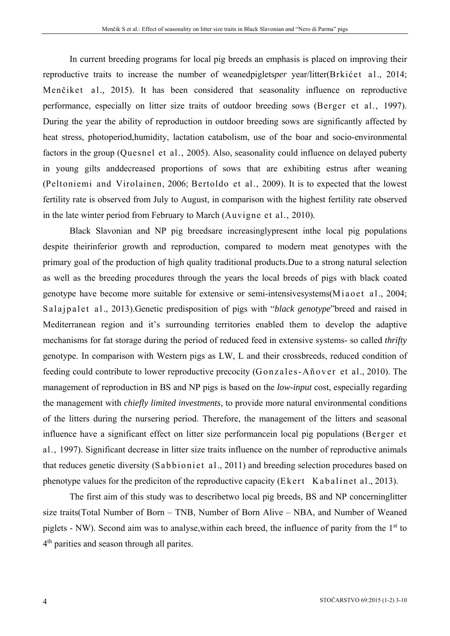In current breeding programs for local pig breeds an emphasis is placed on improving their reproductive traits to increase the number of weanedpiglets*per* year/litter(Brkićet al., 2014; Menčiket al*.,* 2015). It has been considered that seasonality influence on reproductive performance, especially on litter size traits of outdoor breeding sows (Berger et al., 1997). During the year the ability of reproduction in outdoor breeding sows are significantly affected by heat stress, photoperiod,humidity, lactation catabolism, use of the boar and socio-environmental factors in the group (Quesnel et al., 2005). Also, seasonality could influence on delayed puberty in young gilts anddecreased proportions of sows that are exhibiting estrus after weaning (Peltoniemi and Virolainen, 2006; Bertoldo et al., 2009). It is to expected that the lowest fertility rate is observed from July to August, in comparison with the highest fertility rate observed in the late winter period from February to March (Auvigne et al., 2010).

Black Slavonian and NP pig breedsare increasinglypresent inthe local pig populations despite theirinferior growth and reproduction, compared to modern meat genotypes with the primary goal of the production of high quality traditional products.Due to a strong natural selection as well as the breeding procedures through the years the local breeds of pigs with black coated genotype have become more suitable for extensive or semi-intensivesystems(Miaoet al., 2004; Salajpalet al., 2013). Genetic predisposition of pigs with "*black genotype*"breed and raised in Mediterranean region and it's surrounding territories enabled them to develop the adaptive mechanisms for fat storage during the period of reduced feed in extensive systems- so called *thrifty* genotype. In comparison with Western pigs as LW, L and their crossbreeds, reduced condition of feeding could contribute to lower reproductive precocity (Gonzales-Añover et al., 2010). The management of reproduction in BS and NP pigs is based on the *low-input* cost, especially regarding the management with *chiefly limited investments,* to provide more natural environmental conditions of the litters during the nursering period. Therefore, the management of the litters and seasonal influence have a significant effect on litter size performancein local pig populations (Berger et al., 1997). Significant decrease in litter size traits influence on the number of reproductive animals that reduces genetic diversity (Sabbioniet al., 2011) and breeding selection procedures based on phenotype values for the prediciton of the reproductive capacity (Ekert Kabalinet al., 2013).

The first aim of this study was to describetwo local pig breeds, BS and NP concerninglitter size traits(Total Number of Born – TNB, Number of Born Alive – NBA, and Number of Weaned piglets - NW). Second aim was to analyse, within each breed, the influence of parity from the  $1<sup>st</sup>$  to 4<sup>th</sup> parities and season through all parites.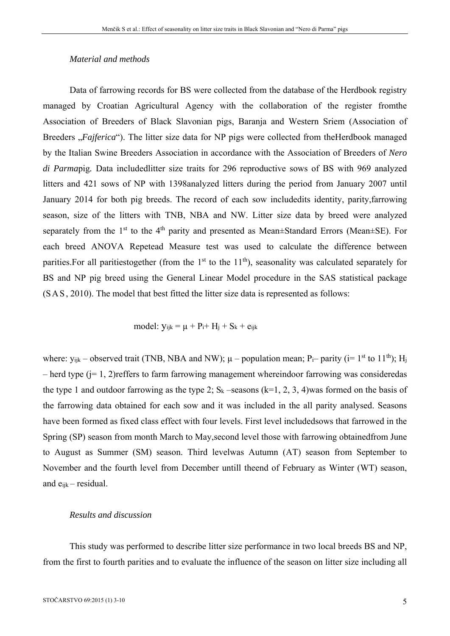## *Material and methods*

Data of farrowing records for BS were collected from the database of the Herdbook registry managed by Croatian Agricultural Agency with the collaboration of the register fromthe Association of Breeders of Black Slavonian pigs, Baranja and Western Sriem (Association of Breeders "*Fajferica*"). The litter size data for NP pigs were collected from theHerdbook managed by the Italian Swine Breeders Association in accordance with the Association of Breeders of *Nero di Parma*pig*.* Data includedlitter size traits for 296 reproductive sows of BS with 969 analyzed litters and 421 sows of NP with 1398analyzed litters during the period from January 2007 until January 2014 for both pig breeds. The record of each sow includedits identity, parity,farrowing season, size of the litters with TNB, NBA and NW. Litter size data by breed were analyzed separately from the 1<sup>st</sup> to the 4<sup>th</sup> parity and presented as Mean $\pm$ Standard Errors (Mean $\pm$ SE). For each breed ANOVA Repetead Measure test was used to calculate the difference between parities. For all paritiestogether (from the  $1<sup>st</sup>$  to the  $11<sup>th</sup>$ ), seasonality was calculated separately for BS and NP pig breed using the General Linear Model procedure in the SAS statistical package (SAS, 2010). The model that best fitted the litter size data is represented as follows:

$$
model: y_{ijk} = \mu + P_i + H_j + S_k + e_{ijk}
$$

where:  $y_{ijk}$  – observed trait (TNB, NBA and NW);  $\mu$  – population mean; P<sub>i</sub>– parity (i= 1<sup>st</sup> to 11<sup>th</sup>); H<sub>i</sub> – herd type (j= 1, 2)reffers to farm farrowing management whereindoor farrowing was consideredas the type 1 and outdoor farrowing as the type 2;  $S_k$  –seasons (k=1, 2, 3, 4)was formed on the basis of the farrowing data obtained for each sow and it was included in the all parity analysed. Seasons have been formed as fixed class effect with four levels. First level includedsows that farrowed in the Spring (SP) season from month March to May,second level those with farrowing obtainedfrom June to August as Summer (SM) season. Third levelwas Autumn (AT) season from September to November and the fourth level from December untill theend of February as Winter (WT) season, and eijk – residual.

### *Results and discussion*

This study was performed to describe litter size performance in two local breeds BS and NP, from the first to fourth parities and to evaluate the influence of the season on litter size including all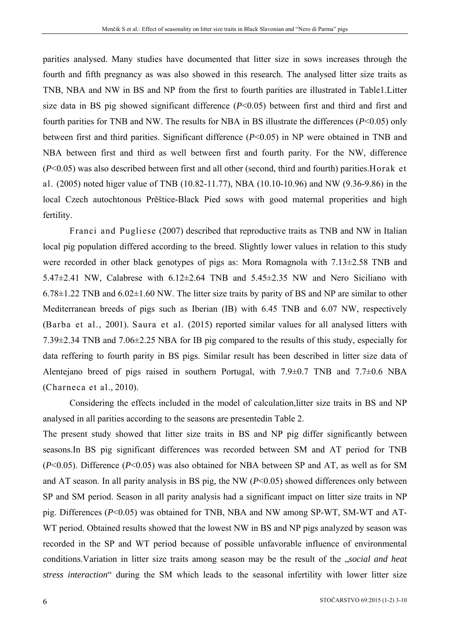parities analysed. Many studies have documented that litter size in sows increases through the fourth and fifth pregnancy as was also showed in this research. The analysed litter size traits as TNB, NBA and NW in BS and NP from the first to fourth parities are illustrated in Table1.Litter size data in BS pig showed significant difference  $(P<0.05)$  between first and third and first and fourth parities for TNB and NW. The results for NBA in BS illustrate the differences (*P*<0.05) only between first and third parities. Significant difference (*P*<0.05) in NP were obtained in TNB and NBA between first and third as well between first and fourth parity. For the NW, difference (*P*<0.05) was also described between first and all other (second, third and fourth) parities.Horak et al. (2005) noted higer value of TNB (10.82-11.77), NBA (10.10-10.96) and NW (9.36-9.86) in the local Czech autochtonous Prěštice-Black Pied sows with good maternal properities and high fertility.

Franci and Pugliese (2007) described that reproductive traits as TNB and NW in Italian local pig population differed according to the breed. Slightly lower values in relation to this study were recorded in other black genotypes of pigs as: Mora Romagnola with 7.13±2.58 TNB and 5.47 $\pm$ 2.41 NW, Calabrese with 6.12 $\pm$ 2.64 TNB and 5.45 $\pm$ 2.35 NW and Nero Siciliano with  $6.78\pm1.22$  TNB and  $6.02\pm1.60$  NW. The litter size traits by parity of BS and NP are similar to other Mediterranean breeds of pigs such as Iberian (IB) with 6.45 TNB and 6.07 NW, respectively (Barba et al., 2001). Saura et al. (2015) reported similar values for all analysed litters with 7.39±2.34 TNB and 7.06±2.25 NBA for IB pig compared to the results of this study, especially for data reffering to fourth parity in BS pigs. Similar result has been described in litter size data of Alentejano breed of pigs raised in southern Portugal, with 7.9±0.7 TNB and 7.7±0.6 NBA (Charneca et al., 2010).

Considering the effects included in the model of calculation,litter size traits in BS and NP analysed in all parities according to the seasons are presentedin Table 2.

The present study showed that litter size traits in BS and NP pig differ significantly between seasons.In BS pig significant differences was recorded between SM and AT period for TNB (*P*<0.05). Difference (*P*<0.05) was also obtained for NBA between SP and AT, as well as for SM and AT season. In all parity analysis in BS pig, the NW (*P*<0.05) showed differences only between SP and SM period. Season in all parity analysis had a significant impact on litter size traits in NP pig. Differences (*P*<0.05) was obtained for TNB, NBA and NW among SP-WT, SM-WT and AT-WT period. Obtained results showed that the lowest NW in BS and NP pigs analyzed by season was recorded in the SP and WT period because of possible unfavorable influence of environmental conditions.Variation in litter size traits among season may be the result of the "*social and heat stress interaction*" during the SM which leads to the seasonal infertility with lower litter size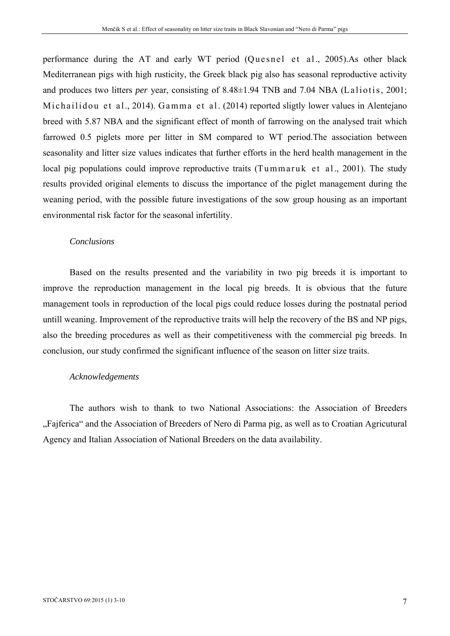performance during the AT and early WT period (Quesnel et al., 2005).As other black Mediterranean pigs with high rusticity, the Greek black pig also has seasonal reproductive activity and produces two litters *per* year, consisting of 8.48±1.94 TNB and 7.04 NBA (Laliotis, 2001; Michailidou et al., 2014). Gamma et al. (2014) reported sligtly lower values in Alentejano breed with 5.87 NBA and the significant effect of month of farrowing on the analysed trait which farrowed 0.5 piglets more per litter in SM compared to WT period. The association between seasonality and litter size values indicates that further efforts in the herd health management in the local pig populations could improve reproductive traits (Tummaruk et al., 2001). The study results provided original elements to discuss the importance of the piglet management during the weaning period, with the possible future investigations of the sow group housing as an important environmental risk factor for the seasonal infertility.

### *Conclusions*

Based on the results presented and the variability in two pig breeds it is important to improve the reproduction management in the local pig breeds. It is obvious that the future management tools in reproduction of the local pigs could reduce losses during the postnatal period untill weaning. Improvement of the reproductive traits will help the recovery of the BS and NP pigs, also the breeding procedures as well as their competitiveness with the commercial pig breeds. In conclusion, our study confirmed the significant influence of the season on litter size traits.

## *Acknowledgements*

The authors wish to thank to two National Associations: the Association of Breeders "Fajferica" and the Association of Breeders of Nero di Parma pig, as well as to Croatian Agricutural Agency and Italian Association of National Breeders on the data availability.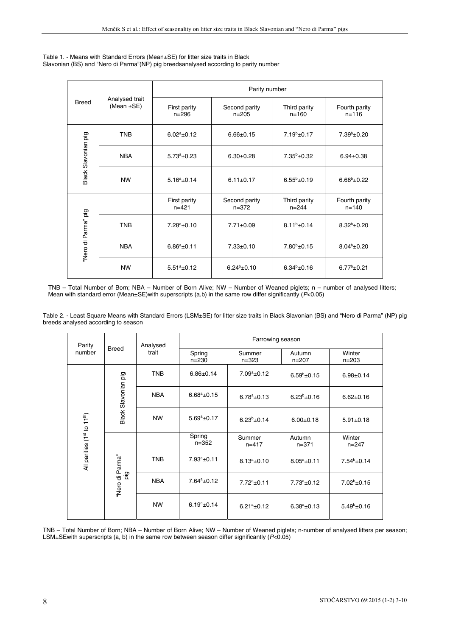| Table 1. - Means with Standard Errors (Mean±SE) for litter size traits in Black       |
|---------------------------------------------------------------------------------------|
| Slavonian (BS) and "Nero di Parma" (NP) pig breedsanalysed according to parity number |

| <b>Breed</b>        | Analysed trait<br>(Mean $\pm$ SE) | Parity number             |                            |                           |                            |  |
|---------------------|-----------------------------------|---------------------------|----------------------------|---------------------------|----------------------------|--|
|                     |                                   | First parity<br>$n = 296$ | Second parity<br>$n = 205$ | Third parity<br>$n = 160$ | Fourth parity<br>$n = 116$ |  |
| Black Slavonian pig | <b>TNB</b>                        | $6.02^a \pm 0.12$         | $6.66 \pm 0.15$            | $7.19b + 0.17$            | $7.39^{\rm b}$ ±0.20       |  |
|                     | <b>NBA</b>                        | $5.73^a \pm 0.23$         | $6.30+0.28$                | $7.35^b \pm 0.32$         | $6.94 \pm 0.38$            |  |
|                     | <b>NW</b>                         | $5.16^a \pm 0.14$         | $6.11 \pm 0.17$            | $6.55^{b}$ ±0.19          | $6.68^{\rm b}$ ±0.22       |  |
| "Nero di Parma" pig |                                   | First parity<br>$n = 421$ | Second parity<br>$n = 372$ | Third parity<br>$n = 244$ | Fourth parity<br>$n = 140$ |  |
|                     | <b>TNB</b>                        | $7.28^a \pm 0.10$         | $7.71 \pm 0.09$            | $8.11^{b} \pm 0.14$       | $8.32^{b}$ ±0.20           |  |
|                     | <b>NBA</b>                        | $6.86^a \pm 0.11$         | $7.33 \pm 0.10$            | $7.80^b \pm 0.15$         | $8.04^b \pm 0.20$          |  |
|                     | <b>NW</b>                         | $5.51^a \pm 0.12$         | $6.24^{b} \pm 0.10$        | $6.34^{b} \pm 0.16$       | $6.77^b \pm 0.21$          |  |

TNB – Total Number of Born; NBA – Number of Born Alive; NW – Number of Weaned piglets; n – number of analysed litters; Mean with standard error (Mean±SE)with superscripts (a,b) in the same row differ significantly (*P*<0.05)

Table 2. - Least Square Means with Standard Errors (LSM±SE) for litter size traits in Black Slavonian (BS) and "Nero di Parma" (NP) pig breeds analysed according to season

| Parity<br>number           | <b>Breed</b>           | Analysed<br>trait | Farrowing season    |                     |                     |                      |
|----------------------------|------------------------|-------------------|---------------------|---------------------|---------------------|----------------------|
|                            |                        |                   | Spring<br>$n = 230$ | Summer<br>$n = 323$ | Autumn<br>$n = 207$ | Winter<br>$n = 203$  |
| All parities (1st to 11th) | Black Slavonian pig    | <b>TNB</b>        | $6.86 \pm 0.14$     | $7.09^a \pm 0.12$   | $6.59^b$ ±0.15      | $6.98 \pm 0.14$      |
|                            |                        | <b>NBA</b>        | $6.68^a \pm 0.15$   | $6.78^a \pm 0.13$   | $6.23^{b}$ ±0.16    | $6.62 \pm 0.16$      |
|                            |                        | <b>NW</b>         | $5.69^a \pm 0.17$   | $6.23^{b}$ ±0.14    | $6.00 \pm 0.18$     | $5.91 \pm 0.18$      |
|                            | 'Nero di Parma"<br>ρig |                   | Spring<br>$n = 352$ | Summer<br>$n = 417$ | Autumn<br>$n = 371$ | Winter<br>$n = 247$  |
|                            |                        | <b>TNB</b>        | $7.93^a \pm 0.11$   | $8.13^a \pm 0.10$   | $8.05^a \pm 0.11$   | $7.54^b \pm 0.14$    |
|                            |                        | <b>NBA</b>        | $7.64^a \pm 0.12$   | $7.72^a \pm 0.11$   | $7.73^a \pm 0.12$   | $7.02^b \pm 0.15$    |
|                            |                        | <b>NW</b>         | $6.19^a \pm 0.14$   | $6.21^a \pm 0.12$   | $6.38^a \pm 0.13$   | $5.49^{\rm b}$ ±0.16 |

TNB – Total Number of Born; NBA – Number of Born Alive; NW – Number of Weaned piglets; n-number of analysed litters per season; LSM±SEwith superscripts (a, b) in the same row between season differ significantly (*P*<0.05)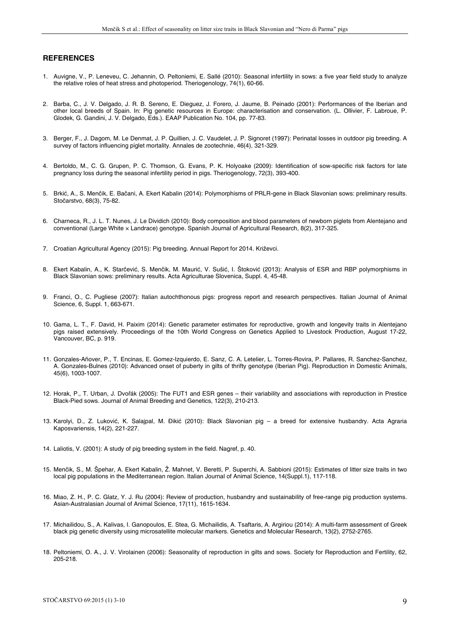#### **REFERENCES**

- 1. Auvigne, V., P. Leneveu, C. Jehannin, O. Peltoniemi, E. Sallé (2010): Seasonal infertility in sows: a five year field study to analyze the relative roles of heat stress and photoperiod. Theriogenology, 74(1), 60-66.
- 2. Barba, C., J. V. Delgado, J. R. B. Sereno, E. Dieguez, J. Forero, J. Jaume, B. Peinado (2001): Performances of the Iberian and other local breeds of Spain. In: Pig genetic resources in Europe: characterisation and conservation. (L. Ollivier, F. Labroue, P. Glodek, G. Gandini, J. V. Delgado, Eds.). EAAP Publication No. 104, pp. 77-83.
- 3. Berger, F., J. Dagom, M. Le Denmat, J. P. Quillien, J. C. Vaudelet, J. P. Signoret (1997): Perinatal losses in outdoor pig breeding. A survey of factors influencing piglet mortality. Annales de zootechnie, 46(4), 321-329.
- 4. Bertoldo, M., C. G. Grupen, P. C. Thomson, G. Evans, P. K. Holyoake (2009): Identification of sow-specific risk factors for late pregnancy loss during the seasonal infertility period in pigs. Theriogenology, 72(3), 393-400.
- 5. Brkić, A., S. Menčik, E. Bačani, A. Ekert Kabalin (2014): Polymorphisms of PRLR-gene in Black Slavonian sows: preliminary results. Stočarstvo, 68(3), 75-82.
- 6. Charneca, R., J. L. T. Nunes, J. Le Dividich (2010): Body composition and blood parameters of newborn piglets from Alentejano and conventional (Large White × Landrace) genotype. Spanish Journal of Agricultural Research, 8(2), 317-325.
- 7. Croatian Agricultural Agency (2015): Pig breeding. Annual Report for 2014. Križevci.
- 8. Ekert Kabalin, A., K. Starčević, S. Menčik, M. Maurić, V. Sušić, I. Štoković (2013): Analysis of ESR and RBP polymorphisms in Black Slavonian sows: preliminary results. Acta Agriculturae Slovenica, Suppl. 4, 45-48.
- 9. Franci, O., C. Pugliese (2007): Italian autochthonous pigs: progress report and research perspectives. Italian Journal of Animal Science, 6, Suppl. 1, 663-671.
- 10. Gama, L. T., F. David, H. Paixim (2014): Genetic parameter estimates for reproductive, growth and longevity traits in Alentejano pigs raised extensively. Proceedings of the 10th World Congress on Genetics Applied to Livestock Production, August 17-22, Vancouver, BC, p. 919.
- 11. Gonzales-Añover, P., T. Encinas, E. Gomez-Izquierdo, E. Sanz, C. A. Letelier, L. Torres-Rovira, P. Pallares, R. Sanchez-Sanchez, A. Gonzales-Bulnes (2010): Advanced onset of puberty in gilts of thrifty genotype (Iberian Pig). Reproduction in Domestic Animals, 45(6), 1003-1007.
- 12. Horak, P., T. Urban, J. Dvořák (2005): The FUT1 and ESR genes their variability and associations with reproduction in Prestice Black-Pied sows. Journal of Animal Breeding and Genetics, 122(3), 210-213.
- 13. Karolyi, D., Z. Luković, K. Salajpal, M. Đikić (2010): Black Slavonian pig a breed for extensive husbandry. Acta Agraria Kaposvariensis, 14(2), 221-227.
- 14. Laliotis, V. (2001): A study of pig breeding system in the field. Nagref, p. 40.
- 15. Menčik, S., M. Špehar, A. Ekert Kabalin, Ž. Mahnet, V. Beretti, P. Superchi, A. Sabbioni (2015): Estimates of litter size traits in two local pig populations in the Mediterranean region. Italian Journal of Animal Science, 14(Suppl.1), 117-118.
- 16. Miao, Z. H., P. C. Glatz, Y. J. Ru (2004): Review of production, husbandry and sustainability of free-range pig production systems. Asian-Australasian Journal of Animal Science, 17(11), 1615-1634.
- 17. Michailidou, S., A. Kalivas, I. Ganopoulos, E. Stea, G. Michailidis, A. Tsaftaris, A. Argiriou (2014): A multi-farm assessment of Greek black pig genetic diversity using microsatellite molecular markers. Genetics and Molecular Research, 13(2), 2752-2765.
- 18. Peltoniemi, O. A., J. V. Virolainen (2006): Seasonality of reproduction in gilts and sows. Society for Reproduction and Fertility, 62, 205-218.